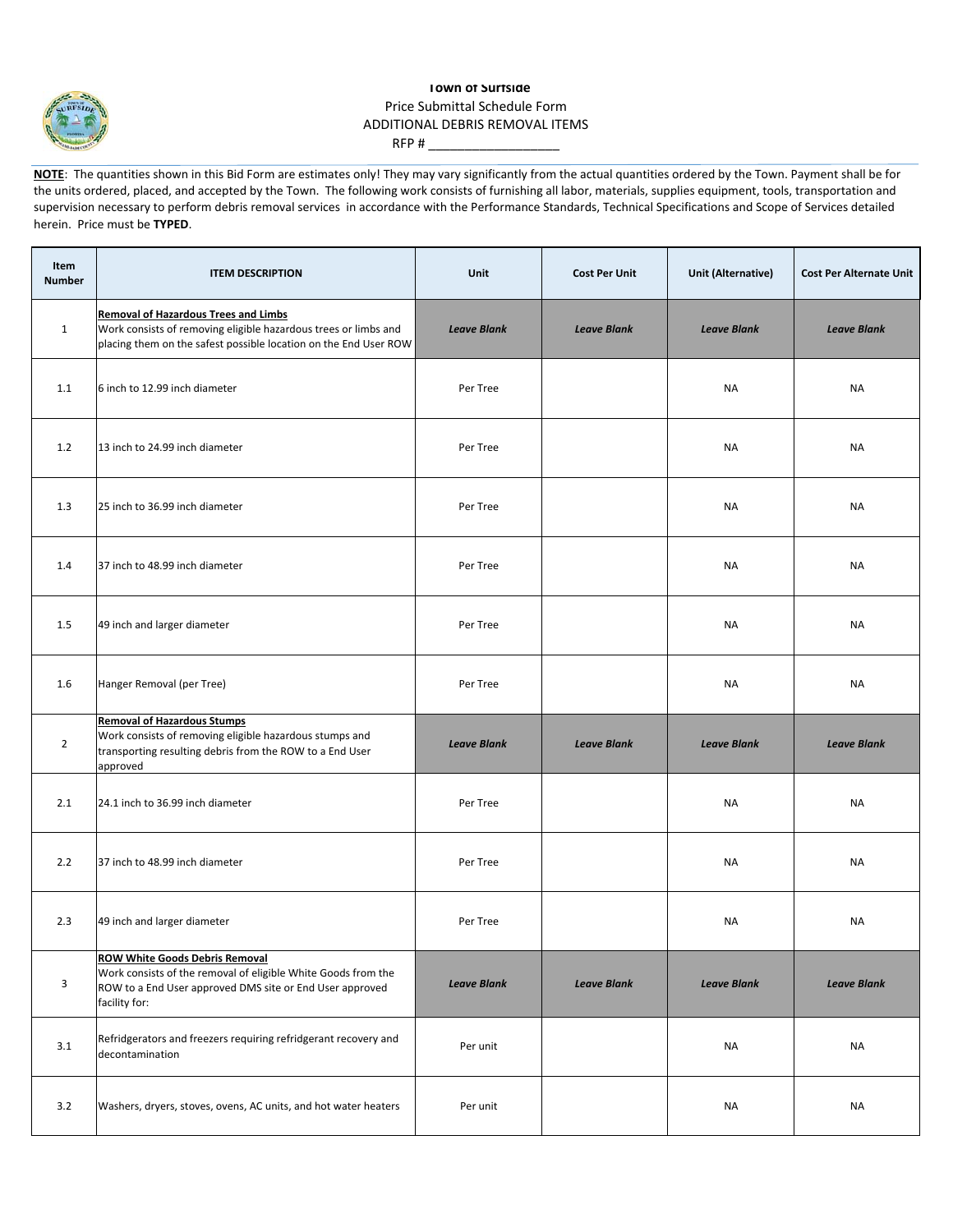

## **Town of Surfside** Price Submittal Schedule Form ADDITIONAL DEBRIS REMOVAL ITEMS RFP # $-$

**NOTE:** The quantities shown in this Bid Form are estimates only! They may vary significantly from the actual quantities ordered by the Town. Payment shall be for the units ordered, placed, and accepted by the Town. The following work consists of furnishing all labor, materials, supplies equipment, tools, transportation and supervision necessary to perform debris removal services in accordance with the Performance Standards, Technical Specifications and Scope of Services detailed herein. Price must be **TYPED**.

| <b>Item</b><br><b>Number</b> | <b>ITEM DESCRIPTION</b>                                                                                                                                                             | Unit               | <b>Cost Per Unit</b> | <b>Unit (Alternative)</b> | <b>Cost Per Alternate Unit</b> |
|------------------------------|-------------------------------------------------------------------------------------------------------------------------------------------------------------------------------------|--------------------|----------------------|---------------------------|--------------------------------|
| $\mathbf{1}$                 | <b>Removal of Hazardous Trees and Limbs</b><br>Work consists of removing eligible hazardous trees or limbs and<br>placing them on the safest possible location on the End User ROW  | <b>Leave Blank</b> | <b>Leave Blank</b>   | <b>Leave Blank</b>        | <b>Leave Blank</b>             |
| 1.1                          | 6 inch to 12.99 inch diameter                                                                                                                                                       | Per Tree           |                      | <b>NA</b>                 | <b>NA</b>                      |
| 1.2                          | 13 inch to 24.99 inch diameter                                                                                                                                                      | Per Tree           |                      | <b>NA</b>                 | NA                             |
| 1.3                          | 25 inch to 36.99 inch diameter                                                                                                                                                      | Per Tree           |                      | <b>NA</b>                 | NA                             |
| 1.4                          | 37 inch to 48.99 inch diameter                                                                                                                                                      | Per Tree           |                      | NA                        | <b>NA</b>                      |
| 1.5                          | 49 inch and larger diameter                                                                                                                                                         | Per Tree           |                      | <b>NA</b>                 | <b>NA</b>                      |
| 1.6                          | Hanger Removal (per Tree)                                                                                                                                                           | Per Tree           |                      | <b>NA</b>                 | NA                             |
| $\overline{2}$               | <b>Removal of Hazardous Stumps</b><br>Work consists of removing eligible hazardous stumps and<br>transporting resulting debris from the ROW to a End User<br>approved               | <b>Leave Blank</b> | <b>Leave Blank</b>   | <b>Leave Blank</b>        | <b>Leave Blank</b>             |
| 2.1                          | 24.1 inch to 36.99 inch diameter                                                                                                                                                    | Per Tree           |                      | NA                        | NA                             |
| 2.2                          | 37 inch to 48.99 inch diameter                                                                                                                                                      | Per Tree           |                      | NA                        | NA                             |
| 2.3                          | 49 inch and larger diameter                                                                                                                                                         | Per Tree           |                      | <b>NA</b>                 | <b>NA</b>                      |
| 3                            | <b>ROW White Goods Debris Removal</b><br>Work consists of the removal of eligible White Goods from the<br>ROW to a End User approved DMS site or End User approved<br>facility for: | <b>Leave Blank</b> | <b>Leave Blank</b>   | <b>Leave Blank</b>        | <b>Leave Blank</b>             |
| 3.1                          | Refridgerators and freezers requiring refridgerant recovery and<br>decontamination                                                                                                  | Per unit           |                      | NA                        | NA                             |
| 3.2                          | Washers, dryers, stoves, ovens, AC units, and hot water heaters                                                                                                                     | Per unit           |                      | NA                        | <b>NA</b>                      |